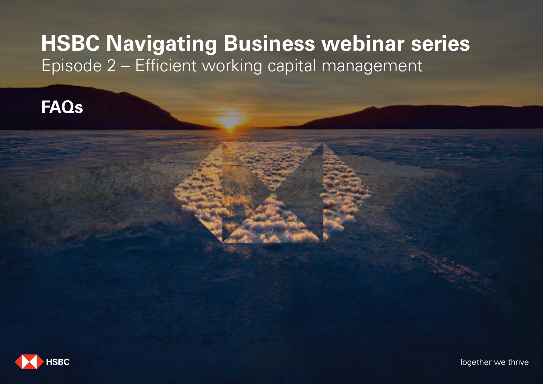# **HSBC Navigating Business webinar series** Episode 2 - Efficient working capital management

## **FAQs**

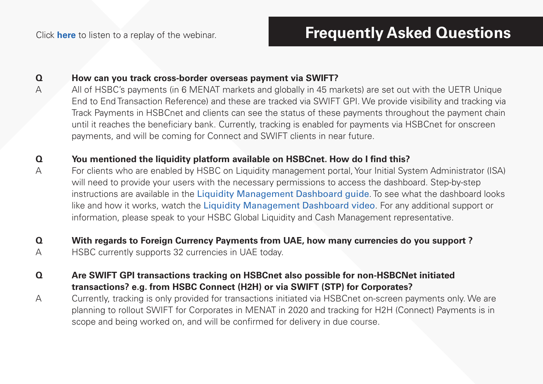Click **here** to listen to a replay of the webinar.

#### **Q How can you track cross-border overseas payment via SWIFT?**

A All of HSBC's payments (in 6 MENAT markets and globally in 45 markets) are set out with the UETR Unique End to End Transaction Reference) and these are tracked via SWIFT GPI. We provide visibility and tracking via Track Payments in HSBCnet and clients can see the status of these payments throughout the payment chain until it reaches the beneficiary bank. Currently, tracking is enabled for payments via HSBCnet for onscreen payments, and will be coming for Connect and SWIFT clients in near future.

#### **Q** You mentioned the liquidity platform available on HSBCnet. How do I find this?

A For clients who are enabled by HSBC on Liquidity management portal, Your Initial System Administrator (ISA) will need to provide your users with the necessary permissions to access the dashboard. Step-by-step instructions are available in the Liquidity Management Dashboard guide. To see what the dashboard looks like and how it works, watch the Liquidity Management Dashboard video. For any additional support or information, please speak to your HSBC Global Liquidity and Cash Management representative.

#### **Q With regards to Foreign Currency Payments from UAE, how many currencies do you support ?**

A HSBC currently supports 32 currencies in UAE today.

#### **Q Are SWIFT GPI transactions tracking on HSBCnet also possible for non-HSBCNet initiated transactions? e.g. from HSBC Connect (H2H) or via SWIFT (STP) for Corporates?**

A Currently, tracking is only provided for transactions initiated via HSBCnet on-screen payments only. We are planning to rollout SWIFT for Corporates in MENAT in 2020 and tracking for H2H (Connect) Payments is in scope and being worked on, and will be confirmed for delivery in due course.